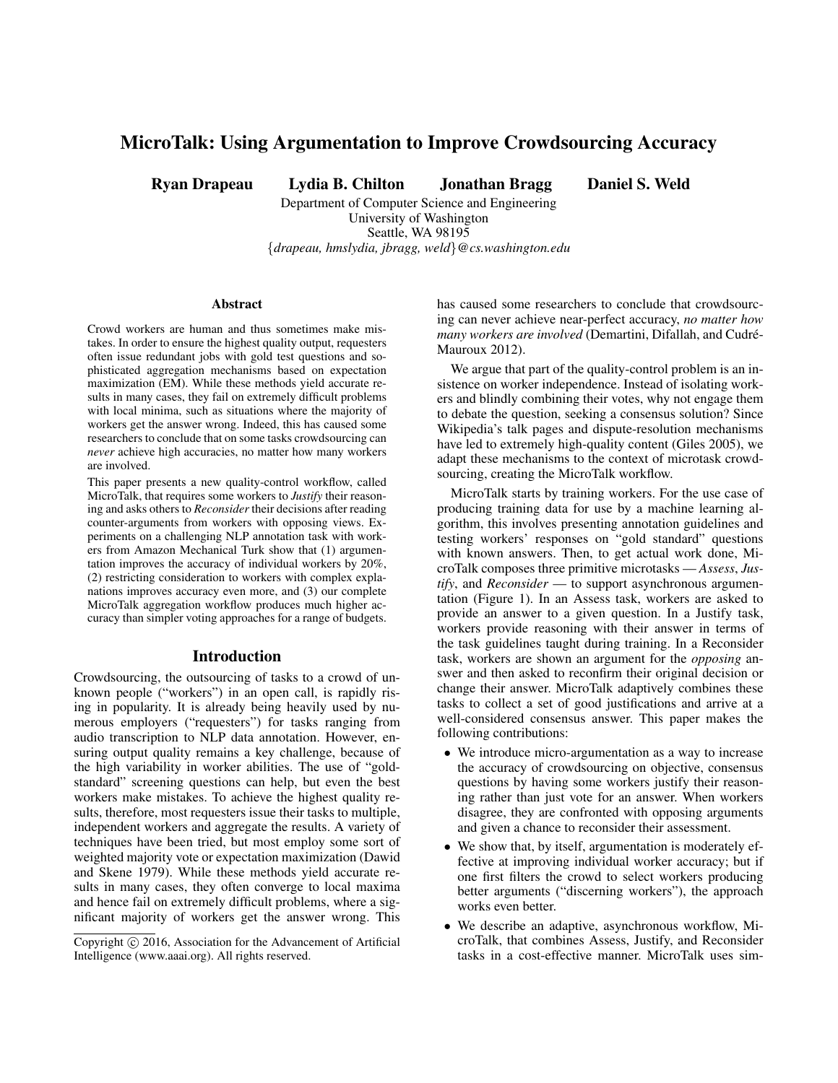# MicroTalk: Using Argumentation to Improve Crowdsourcing Accuracy

Ryan Drapeau Lydia B. Chilton Jonathan Bragg Daniel S. Weld

Department of Computer Science and Engineering University of Washington Seattle, WA 98195 {*drapeau, hmslydia, jbragg, weld*}*@cs.washington.edu*

#### Abstract

Crowd workers are human and thus sometimes make mistakes. In order to ensure the highest quality output, requesters often issue redundant jobs with gold test questions and sophisticated aggregation mechanisms based on expectation maximization (EM). While these methods yield accurate results in many cases, they fail on extremely difficult problems with local minima, such as situations where the majority of workers get the answer wrong. Indeed, this has caused some researchers to conclude that on some tasks crowdsourcing can *never* achieve high accuracies, no matter how many workers are involved.

This paper presents a new quality-control workflow, called MicroTalk, that requires some workers to *Justify* their reasoning and asks others to *Reconsider* their decisions after reading counter-arguments from workers with opposing views. Experiments on a challenging NLP annotation task with workers from Amazon Mechanical Turk show that (1) argumentation improves the accuracy of individual workers by 20%, (2) restricting consideration to workers with complex explanations improves accuracy even more, and (3) our complete MicroTalk aggregation workflow produces much higher accuracy than simpler voting approaches for a range of budgets.

#### Introduction

Crowdsourcing, the outsourcing of tasks to a crowd of unknown people ("workers") in an open call, is rapidly rising in popularity. It is already being heavily used by numerous employers ("requesters") for tasks ranging from audio transcription to NLP data annotation. However, ensuring output quality remains a key challenge, because of the high variability in worker abilities. The use of "goldstandard" screening questions can help, but even the best workers make mistakes. To achieve the highest quality results, therefore, most requesters issue their tasks to multiple, independent workers and aggregate the results. A variety of techniques have been tried, but most employ some sort of weighted majority vote or expectation maximization (Dawid and Skene 1979). While these methods yield accurate results in many cases, they often converge to local maxima and hence fail on extremely difficult problems, where a significant majority of workers get the answer wrong. This

has caused some researchers to conclude that crowdsourcing can never achieve near-perfect accuracy, *no matter how many workers are involved* (Demartini, Difallah, and Cudré-Mauroux 2012).

We argue that part of the quality-control problem is an insistence on worker independence. Instead of isolating workers and blindly combining their votes, why not engage them to debate the question, seeking a consensus solution? Since Wikipedia's talk pages and dispute-resolution mechanisms have led to extremely high-quality content (Giles 2005), we adapt these mechanisms to the context of microtask crowdsourcing, creating the MicroTalk workflow.

MicroTalk starts by training workers. For the use case of producing training data for use by a machine learning algorithm, this involves presenting annotation guidelines and testing workers' responses on "gold standard" questions with known answers. Then, to get actual work done, MicroTalk composes three primitive microtasks — *Assess*, *Justify*, and *Reconsider* — to support asynchronous argumentation (Figure 1). In an Assess task, workers are asked to provide an answer to a given question. In a Justify task, workers provide reasoning with their answer in terms of the task guidelines taught during training. In a Reconsider task, workers are shown an argument for the *opposing* answer and then asked to reconfirm their original decision or change their answer. MicroTalk adaptively combines these tasks to collect a set of good justifications and arrive at a well-considered consensus answer. This paper makes the following contributions:

- We introduce micro-argumentation as a way to increase the accuracy of crowdsourcing on objective, consensus questions by having some workers justify their reasoning rather than just vote for an answer. When workers disagree, they are confronted with opposing arguments and given a chance to reconsider their assessment.
- We show that, by itself, argumentation is moderately effective at improving individual worker accuracy; but if one first filters the crowd to select workers producing better arguments ("discerning workers"), the approach works even better.
- We describe an adaptive, asynchronous workflow, MicroTalk, that combines Assess, Justify, and Reconsider tasks in a cost-effective manner. MicroTalk uses sim-

Copyright (c) 2016, Association for the Advancement of Artificial Intelligence (www.aaai.org). All rights reserved.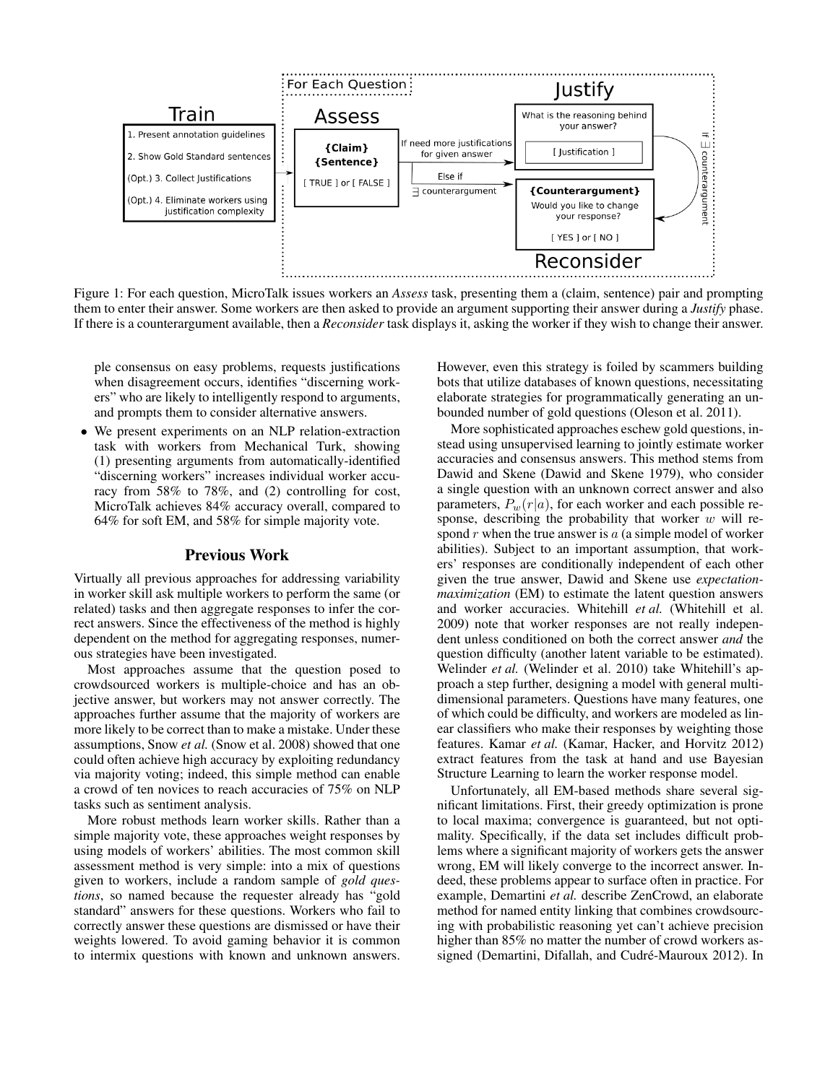

Figure 1: For each question, MicroTalk issues workers an *Assess* task, presenting them a (claim, sentence) pair and prompting them to enter their answer. Some workers are then asked to provide an argument supporting their answer during a *Justify* phase. If there is a counterargument available, then a *Reconsider* task displays it, asking the worker if they wish to change their answer.

ple consensus on easy problems, requests justifications when disagreement occurs, identifies "discerning workers" who are likely to intelligently respond to arguments, and prompts them to consider alternative answers.

• We present experiments on an NLP relation-extraction task with workers from Mechanical Turk, showing (1) presenting arguments from automatically-identified "discerning workers" increases individual worker accuracy from 58% to 78%, and (2) controlling for cost, MicroTalk achieves 84% accuracy overall, compared to 64% for soft EM, and 58% for simple majority vote.

# Previous Work

Virtually all previous approaches for addressing variability in worker skill ask multiple workers to perform the same (or related) tasks and then aggregate responses to infer the correct answers. Since the effectiveness of the method is highly dependent on the method for aggregating responses, numerous strategies have been investigated.

Most approaches assume that the question posed to crowdsourced workers is multiple-choice and has an objective answer, but workers may not answer correctly. The approaches further assume that the majority of workers are more likely to be correct than to make a mistake. Under these assumptions, Snow *et al.* (Snow et al. 2008) showed that one could often achieve high accuracy by exploiting redundancy via majority voting; indeed, this simple method can enable a crowd of ten novices to reach accuracies of 75% on NLP tasks such as sentiment analysis.

More robust methods learn worker skills. Rather than a simple majority vote, these approaches weight responses by using models of workers' abilities. The most common skill assessment method is very simple: into a mix of questions given to workers, include a random sample of *gold questions*, so named because the requester already has "gold standard" answers for these questions. Workers who fail to correctly answer these questions are dismissed or have their weights lowered. To avoid gaming behavior it is common to intermix questions with known and unknown answers.

However, even this strategy is foiled by scammers building bots that utilize databases of known questions, necessitating elaborate strategies for programmatically generating an unbounded number of gold questions (Oleson et al. 2011).

More sophisticated approaches eschew gold questions, instead using unsupervised learning to jointly estimate worker accuracies and consensus answers. This method stems from Dawid and Skene (Dawid and Skene 1979), who consider a single question with an unknown correct answer and also parameters,  $P_w(r|a)$ , for each worker and each possible response, describing the probability that worker  $w$  will respond  $r$  when the true answer is  $a$  (a simple model of worker abilities). Subject to an important assumption, that workers' responses are conditionally independent of each other given the true answer, Dawid and Skene use *expectationmaximization* (EM) to estimate the latent question answers and worker accuracies. Whitehill *et al.* (Whitehill et al. 2009) note that worker responses are not really independent unless conditioned on both the correct answer *and* the question difficulty (another latent variable to be estimated). Welinder et al. (Welinder et al. 2010) take Whitehill's approach a step further, designing a model with general multidimensional parameters. Questions have many features, one of which could be difficulty, and workers are modeled as linear classifiers who make their responses by weighting those features. Kamar *et al.* (Kamar, Hacker, and Horvitz 2012) extract features from the task at hand and use Bayesian Structure Learning to learn the worker response model.

Unfortunately, all EM-based methods share several significant limitations. First, their greedy optimization is prone to local maxima; convergence is guaranteed, but not optimality. Specifically, if the data set includes difficult problems where a significant majority of workers gets the answer wrong, EM will likely converge to the incorrect answer. Indeed, these problems appear to surface often in practice. For example, Demartini *et al.* describe ZenCrowd, an elaborate method for named entity linking that combines crowdsourcing with probabilistic reasoning yet can't achieve precision higher than 85% no matter the number of crowd workers assigned (Demartini, Difallah, and Cudré-Mauroux 2012). In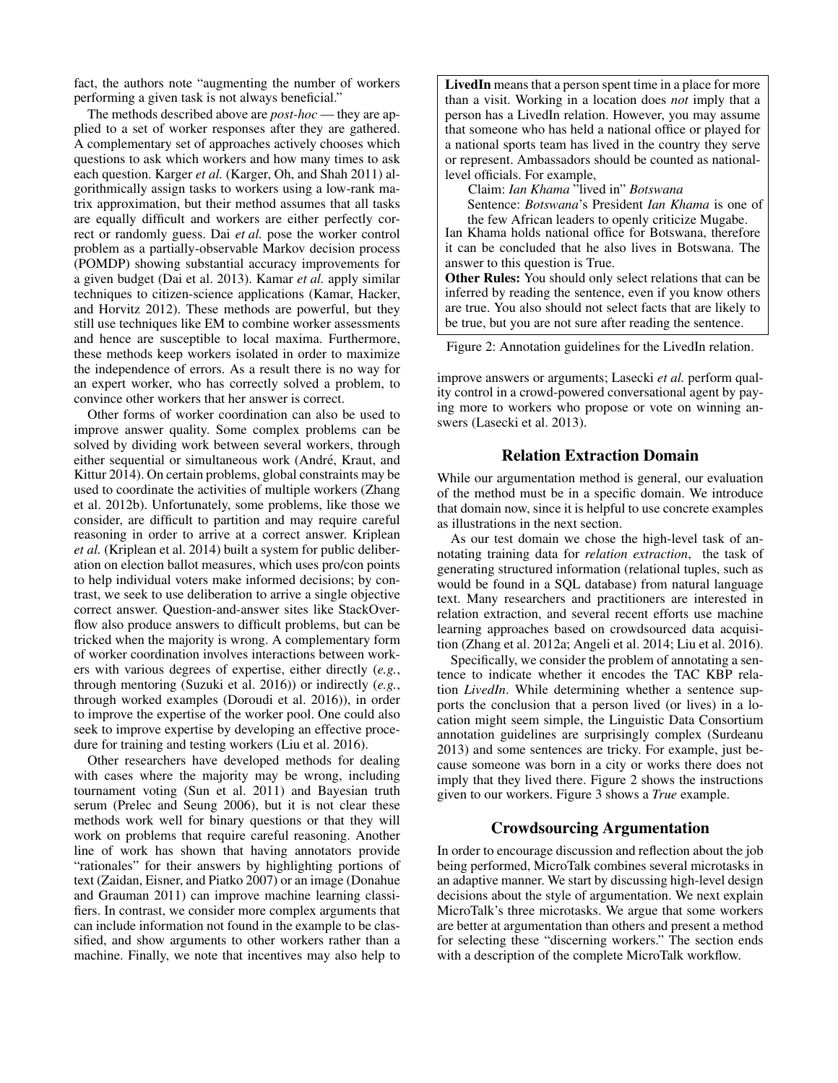fact, the authors note "augmenting the number of workers performing a given task is not always beneficial."

The methods described above are *post-hoc* — they are applied to a set of worker responses after they are gathered. A complementary set of approaches actively chooses which questions to ask which workers and how many times to ask each question. Karger *et al.* (Karger, Oh, and Shah 2011) algorithmically assign tasks to workers using a low-rank matrix approximation, but their method assumes that all tasks are equally difficult and workers are either perfectly correct or randomly guess. Dai *et al.* pose the worker control problem as a partially-observable Markov decision process (POMDP) showing substantial accuracy improvements for a given budget (Dai et al. 2013). Kamar *et al.* apply similar techniques to citizen-science applications (Kamar, Hacker, and Horvitz 2012). These methods are powerful, but they still use techniques like EM to combine worker assessments and hence are susceptible to local maxima. Furthermore, these methods keep workers isolated in order to maximize the independence of errors. As a result there is no way for an expert worker, who has correctly solved a problem, to convince other workers that her answer is correct.

Other forms of worker coordination can also be used to improve answer quality. Some complex problems can be solved by dividing work between several workers, through either sequential or simultaneous work (André, Kraut, and Kittur 2014). On certain problems, global constraints may be used to coordinate the activities of multiple workers (Zhang et al. 2012b). Unfortunately, some problems, like those we consider, are difficult to partition and may require careful reasoning in order to arrive at a correct answer. Kriplean *et al.* (Kriplean et al. 2014) built a system for public deliberation on election ballot measures, which uses pro/con points to help individual voters make informed decisions; by contrast, we seek to use deliberation to arrive a single objective correct answer. Question-and-answer sites like StackOverflow also produce answers to difficult problems, but can be tricked when the majority is wrong. A complementary form of worker coordination involves interactions between workers with various degrees of expertise, either directly (*e.g.*, through mentoring (Suzuki et al. 2016)) or indirectly (*e.g.*, through worked examples (Doroudi et al. 2016)), in order to improve the expertise of the worker pool. One could also seek to improve expertise by developing an effective procedure for training and testing workers (Liu et al. 2016).

Other researchers have developed methods for dealing with cases where the majority may be wrong, including tournament voting (Sun et al. 2011) and Bayesian truth serum (Prelec and Seung 2006), but it is not clear these methods work well for binary questions or that they will work on problems that require careful reasoning. Another line of work has shown that having annotators provide "rationales" for their answers by highlighting portions of text (Zaidan, Eisner, and Piatko 2007) or an image (Donahue and Grauman 2011) can improve machine learning classifiers. In contrast, we consider more complex arguments that can include information not found in the example to be classified, and show arguments to other workers rather than a machine. Finally, we note that incentives may also help to

LivedIn means that a person spent time in a place for more than a visit. Working in a location does *not* imply that a person has a LivedIn relation. However, you may assume that someone who has held a national office or played for a national sports team has lived in the country they serve or represent. Ambassadors should be counted as nationallevel officials. For example,

Claim: *Ian Khama* "lived in" *Botswana*

Sentence: *Botswana*'s President *Ian Khama* is one of the few African leaders to openly criticize Mugabe.

Ian Khama holds national office for Botswana, therefore it can be concluded that he also lives in Botswana. The answer to this question is True.

Other Rules: You should only select relations that can be inferred by reading the sentence, even if you know others are true. You also should not select facts that are likely to be true, but you are not sure after reading the sentence.

Figure 2: Annotation guidelines for the LivedIn relation.

improve answers or arguments; Lasecki *et al.* perform quality control in a crowd-powered conversational agent by paying more to workers who propose or vote on winning answers (Lasecki et al. 2013).

# Relation Extraction Domain

While our argumentation method is general, our evaluation of the method must be in a specific domain. We introduce that domain now, since it is helpful to use concrete examples as illustrations in the next section.

As our test domain we chose the high-level task of annotating training data for *relation extraction*, the task of generating structured information (relational tuples, such as would be found in a SQL database) from natural language text. Many researchers and practitioners are interested in relation extraction, and several recent efforts use machine learning approaches based on crowdsourced data acquisition (Zhang et al. 2012a; Angeli et al. 2014; Liu et al. 2016).

Specifically, we consider the problem of annotating a sentence to indicate whether it encodes the TAC KBP relation *LivedIn*. While determining whether a sentence supports the conclusion that a person lived (or lives) in a location might seem simple, the Linguistic Data Consortium annotation guidelines are surprisingly complex (Surdeanu 2013) and some sentences are tricky. For example, just because someone was born in a city or works there does not imply that they lived there. Figure 2 shows the instructions given to our workers. Figure 3 shows a *True* example.

# Crowdsourcing Argumentation

In order to encourage discussion and reflection about the job being performed, MicroTalk combines several microtasks in an adaptive manner. We start by discussing high-level design decisions about the style of argumentation. We next explain MicroTalk's three microtasks. We argue that some workers are better at argumentation than others and present a method for selecting these "discerning workers." The section ends with a description of the complete MicroTalk workflow.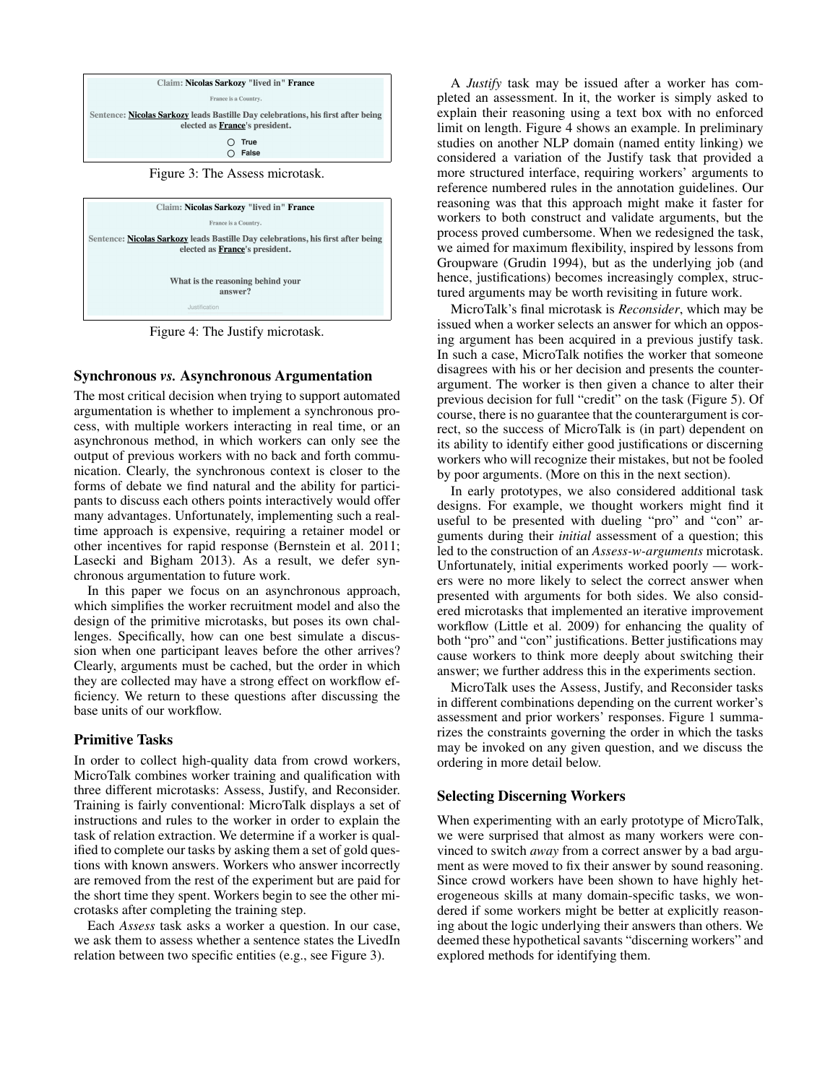



Figure 4: The Justify microtask.

# Synchronous *vs.* Asynchronous Argumentation

The most critical decision when trying to support automated argumentation is whether to implement a synchronous process, with multiple workers interacting in real time, or an asynchronous method, in which workers can only see the output of previous workers with no back and forth communication. Clearly, the synchronous context is closer to the forms of debate we find natural and the ability for participants to discuss each others points interactively would offer many advantages. Unfortunately, implementing such a realtime approach is expensive, requiring a retainer model or other incentives for rapid response (Bernstein et al. 2011; Lasecki and Bigham 2013). As a result, we defer synchronous argumentation to future work.

In this paper we focus on an asynchronous approach, which simplifies the worker recruitment model and also the design of the primitive microtasks, but poses its own challenges. Specifically, how can one best simulate a discussion when one participant leaves before the other arrives? Clearly, arguments must be cached, but the order in which they are collected may have a strong effect on workflow efficiency. We return to these questions after discussing the base units of our workflow.

# Primitive Tasks

In order to collect high-quality data from crowd workers, MicroTalk combines worker training and qualification with three different microtasks: Assess, Justify, and Reconsider. Training is fairly conventional: MicroTalk displays a set of instructions and rules to the worker in order to explain the task of relation extraction. We determine if a worker is qualified to complete our tasks by asking them a set of gold questions with known answers. Workers who answer incorrectly are removed from the rest of the experiment but are paid for the short time they spent. Workers begin to see the other microtasks after completing the training step.

Each *Assess* task asks a worker a question. In our case, we ask them to assess whether a sentence states the LivedIn relation between two specific entities (e.g., see Figure 3).

A *Justify* task may be issued after a worker has completed an assessment. In it, the worker is simply asked to explain their reasoning using a text box with no enforced limit on length. Figure 4 shows an example. In preliminary studies on another NLP domain (named entity linking) we considered a variation of the Justify task that provided a more structured interface, requiring workers' arguments to reference numbered rules in the annotation guidelines. Our reasoning was that this approach might make it faster for workers to both construct and validate arguments, but the process proved cumbersome. When we redesigned the task, we aimed for maximum flexibility, inspired by lessons from Groupware (Grudin 1994), but as the underlying job (and hence, justifications) becomes increasingly complex, structured arguments may be worth revisiting in future work.

MicroTalk's final microtask is *Reconsider*, which may be issued when a worker selects an answer for which an opposing argument has been acquired in a previous justify task. In such a case, MicroTalk notifies the worker that someone disagrees with his or her decision and presents the counterargument. The worker is then given a chance to alter their previous decision for full "credit" on the task (Figure 5). Of course, there is no guarantee that the counterargument is correct, so the success of MicroTalk is (in part) dependent on its ability to identify either good justifications or discerning workers who will recognize their mistakes, but not be fooled by poor arguments. (More on this in the next section).

In early prototypes, we also considered additional task designs. For example, we thought workers might find it useful to be presented with dueling "pro" and "con" arguments during their *initial* assessment of a question; this led to the construction of an *Assess-w-arguments* microtask. Unfortunately, initial experiments worked poorly — workers were no more likely to select the correct answer when presented with arguments for both sides. We also considered microtasks that implemented an iterative improvement workflow (Little et al. 2009) for enhancing the quality of both "pro" and "con" justifications. Better justifications may cause workers to think more deeply about switching their answer; we further address this in the experiments section.

MicroTalk uses the Assess, Justify, and Reconsider tasks in different combinations depending on the current worker's assessment and prior workers' responses. Figure 1 summarizes the constraints governing the order in which the tasks may be invoked on any given question, and we discuss the ordering in more detail below.

# Selecting Discerning Workers

When experimenting with an early prototype of MicroTalk, we were surprised that almost as many workers were convinced to switch *away* from a correct answer by a bad argument as were moved to fix their answer by sound reasoning. Since crowd workers have been shown to have highly heterogeneous skills at many domain-specific tasks, we wondered if some workers might be better at explicitly reasoning about the logic underlying their answers than others. We deemed these hypothetical savants "discerning workers" and explored methods for identifying them.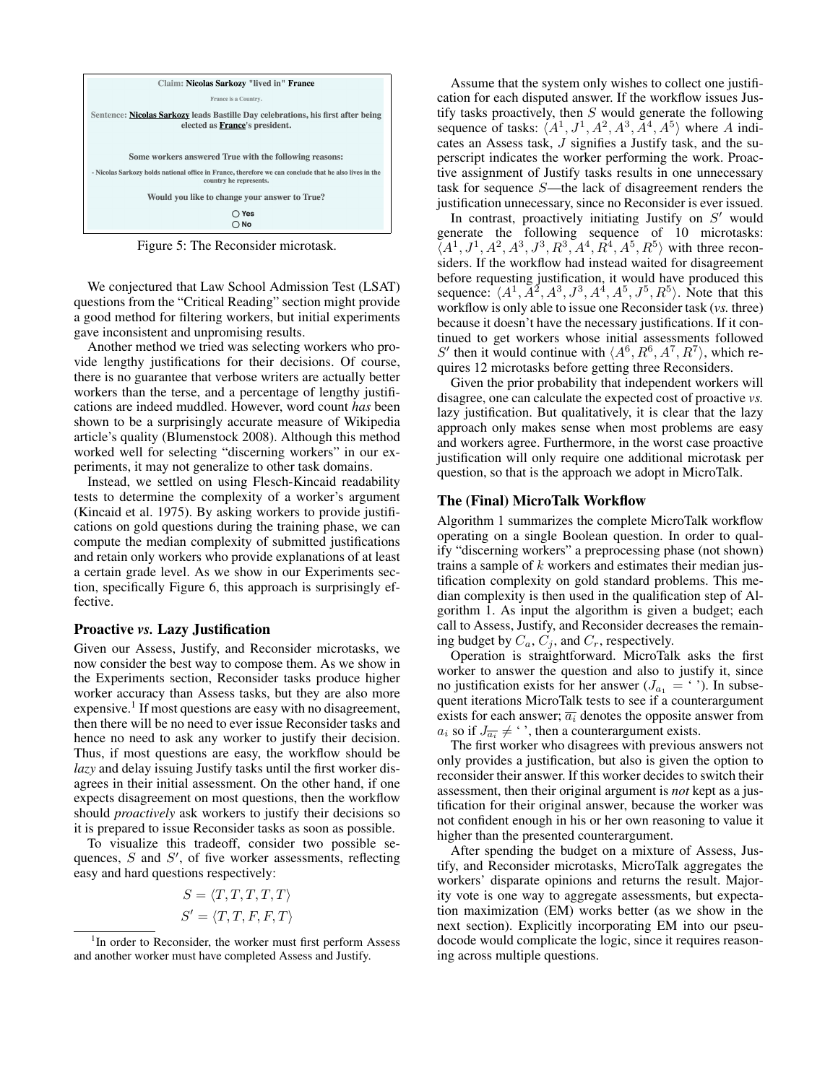

Figure 5: The Reconsider microtask.

We conjectured that Law School Admission Test (LSAT) questions from the "Critical Reading" section might provide a good method for filtering workers, but initial experiments gave inconsistent and unpromising results.

Another method we tried was selecting workers who provide lengthy justifications for their decisions. Of course, there is no guarantee that verbose writers are actually better workers than the terse, and a percentage of lengthy justifications are indeed muddled. However, word count *has* been shown to be a surprisingly accurate measure of Wikipedia article's quality (Blumenstock 2008). Although this method worked well for selecting "discerning workers" in our experiments, it may not generalize to other task domains.

Instead, we settled on using Flesch-Kincaid readability tests to determine the complexity of a worker's argument (Kincaid et al. 1975). By asking workers to provide justifications on gold questions during the training phase, we can compute the median complexity of submitted justifications and retain only workers who provide explanations of at least a certain grade level. As we show in our Experiments section, specifically Figure 6, this approach is surprisingly effective.

## Proactive *vs.* Lazy Justification

Given our Assess, Justify, and Reconsider microtasks, we now consider the best way to compose them. As we show in the Experiments section, Reconsider tasks produce higher worker accuracy than Assess tasks, but they are also more expensive.<sup>1</sup> If most questions are easy with no disagreement, then there will be no need to ever issue Reconsider tasks and hence no need to ask any worker to justify their decision. Thus, if most questions are easy, the workflow should be *lazy* and delay issuing Justify tasks until the first worker disagrees in their initial assessment. On the other hand, if one expects disagreement on most questions, then the workflow should *proactively* ask workers to justify their decisions so it is prepared to issue Reconsider tasks as soon as possible.

To visualize this tradeoff, consider two possible sequences,  $S$  and  $S'$ , of five worker assessments, reflecting easy and hard questions respectively:

$$
S = \langle T, T, T, T, T \rangle
$$

$$
S' = \langle T, T, F, F, T \rangle
$$

Assume that the system only wishes to collect one justification for each disputed answer. If the workflow issues Justify tasks proactively, then  $S$  would generate the following sequence of tasks:  $\langle A^1, J^1, A^2, A^3, A^4, A^5 \rangle$  where A indicates an Assess task, J signifies a Justify task, and the superscript indicates the worker performing the work. Proactive assignment of Justify tasks results in one unnecessary task for sequence S—the lack of disagreement renders the justification unnecessary, since no Reconsider is ever issued.

In contrast, proactively initiating Justify on  $S'$  would generate the following sequence of 10 microtasks:  $\vec{A}^{1}, J^{1}, A^{2}, A^{3}, J^{3}, R^{3}, A^{4}, R^{4}, A^{5}, A^{5}$  with three reconsiders. If the workflow had instead waited for disagreement before requesting justification, it would have produced this sequence:  $\langle A^1, \overline{A^2}, A^3, J^3, A^4, A^5, J^5, R^5 \rangle$ . Note that this workflow is only able to issue one Reconsider task (*vs.* three) because it doesn't have the necessary justifications. If it continued to get workers whose initial assessments followed S' then it would continue with  $\langle A^6, R^6, A^7, R^7 \rangle$ , which requires 12 microtasks before getting three Reconsiders.

Given the prior probability that independent workers will disagree, one can calculate the expected cost of proactive *vs.* lazy justification. But qualitatively, it is clear that the lazy approach only makes sense when most problems are easy and workers agree. Furthermore, in the worst case proactive justification will only require one additional microtask per question, so that is the approach we adopt in MicroTalk.

#### The (Final) MicroTalk Workflow

Algorithm 1 summarizes the complete MicroTalk workflow operating on a single Boolean question. In order to qualify "discerning workers" a preprocessing phase (not shown) trains a sample of k workers and estimates their median justification complexity on gold standard problems. This median complexity is then used in the qualification step of Algorithm 1. As input the algorithm is given a budget; each call to Assess, Justify, and Reconsider decreases the remaining budget by  $C_a$ ,  $C_j$ , and  $C_r$ , respectively.

Operation is straightforward. MicroTalk asks the first worker to answer the question and also to justify it, since no justification exists for her answer  $(J_{a_1} = \cdot)$ . In subsequent iterations MicroTalk tests to see if a counterargument exists for each answer;  $\overline{a_i}$  denotes the opposite answer from  $a_i$  so if  $J_{\overline{a_i}} \neq \cdot$ , then a counterargument exists.

The first worker who disagrees with previous answers not only provides a justification, but also is given the option to reconsider their answer. If this worker decides to switch their assessment, then their original argument is *not* kept as a justification for their original answer, because the worker was not confident enough in his or her own reasoning to value it higher than the presented counterargument.

After spending the budget on a mixture of Assess, Justify, and Reconsider microtasks, MicroTalk aggregates the workers' disparate opinions and returns the result. Majority vote is one way to aggregate assessments, but expectation maximization (EM) works better (as we show in the next section). Explicitly incorporating EM into our pseudocode would complicate the logic, since it requires reasoning across multiple questions.

<sup>&</sup>lt;sup>1</sup>In order to Reconsider, the worker must first perform Assess and another worker must have completed Assess and Justify.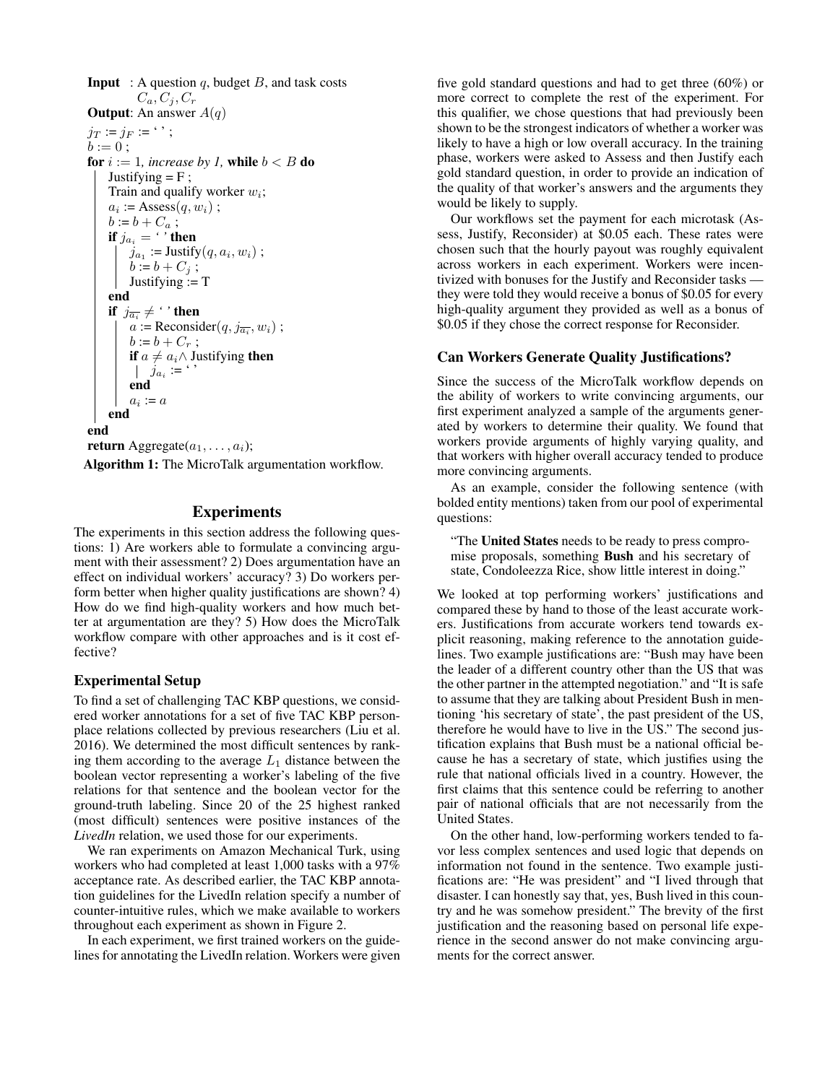**Input** : A question q, budget  $B$ , and task costs  $C_a, C_j, C_r$ **Output:** An answer  $A(q)$  $j_T := j_F := \cdot \cdot$ ;  $b := 0:$ for  $i := 1$ *, increase by 1*, while  $b < B$  do Justifying  $=$  F ; Train and qualify worker  $w_i$ ;  $a_i := \text{Assess}(q, w_i)$ ;  $b := b + C_a;$ if  $j_{a_i} = \lq'$  then  $j_{a_1}$  := Justify $(q, a_i, w_i)$ ;  $b := b + C_j;$ Justifying  $:= T$ end if  $j_{\overline{a_i}} \neq \lq$  ' then  $a := \text{Reconsider}(q, j_{\overline{a_i}}, w_i)$ ;  $b := b + C_r$ ; **if**  $a \neq a_i \wedge$  Justifying **then**  $j_{a_i}$  :=  $\cdot$  ' end  $a_i := a$ end end return Aggregate $(a_1, \ldots, a_i);$ 

Algorithm 1: The MicroTalk argumentation workflow.

# **Experiments**

The experiments in this section address the following questions: 1) Are workers able to formulate a convincing argument with their assessment? 2) Does argumentation have an effect on individual workers' accuracy? 3) Do workers perform better when higher quality justifications are shown? 4) How do we find high-quality workers and how much better at argumentation are they? 5) How does the MicroTalk workflow compare with other approaches and is it cost effective?

# Experimental Setup

To find a set of challenging TAC KBP questions, we considered worker annotations for a set of five TAC KBP personplace relations collected by previous researchers (Liu et al. 2016). We determined the most difficult sentences by ranking them according to the average  $L_1$  distance between the boolean vector representing a worker's labeling of the five relations for that sentence and the boolean vector for the ground-truth labeling. Since 20 of the 25 highest ranked (most difficult) sentences were positive instances of the *LivedIn* relation, we used those for our experiments.

We ran experiments on Amazon Mechanical Turk, using workers who had completed at least 1,000 tasks with a 97% acceptance rate. As described earlier, the TAC KBP annotation guidelines for the LivedIn relation specify a number of counter-intuitive rules, which we make available to workers throughout each experiment as shown in Figure 2.

In each experiment, we first trained workers on the guidelines for annotating the LivedIn relation. Workers were given five gold standard questions and had to get three (60%) or more correct to complete the rest of the experiment. For this qualifier, we chose questions that had previously been shown to be the strongest indicators of whether a worker was likely to have a high or low overall accuracy. In the training phase, workers were asked to Assess and then Justify each gold standard question, in order to provide an indication of the quality of that worker's answers and the arguments they would be likely to supply.

Our workflows set the payment for each microtask (Assess, Justify, Reconsider) at \$0.05 each. These rates were chosen such that the hourly payout was roughly equivalent across workers in each experiment. Workers were incentivized with bonuses for the Justify and Reconsider tasks they were told they would receive a bonus of \$0.05 for every high-quality argument they provided as well as a bonus of \$0.05 if they chose the correct response for Reconsider.

# Can Workers Generate Quality Justifications?

Since the success of the MicroTalk workflow depends on the ability of workers to write convincing arguments, our first experiment analyzed a sample of the arguments generated by workers to determine their quality. We found that workers provide arguments of highly varying quality, and that workers with higher overall accuracy tended to produce more convincing arguments.

As an example, consider the following sentence (with bolded entity mentions) taken from our pool of experimental questions:

"The United States needs to be ready to press compromise proposals, something Bush and his secretary of state, Condoleezza Rice, show little interest in doing."

We looked at top performing workers' justifications and compared these by hand to those of the least accurate workers. Justifications from accurate workers tend towards explicit reasoning, making reference to the annotation guidelines. Two example justifications are: "Bush may have been the leader of a different country other than the US that was the other partner in the attempted negotiation." and "It is safe to assume that they are talking about President Bush in mentioning 'his secretary of state', the past president of the US, therefore he would have to live in the US." The second justification explains that Bush must be a national official because he has a secretary of state, which justifies using the rule that national officials lived in a country. However, the first claims that this sentence could be referring to another pair of national officials that are not necessarily from the United States.

On the other hand, low-performing workers tended to favor less complex sentences and used logic that depends on information not found in the sentence. Two example justifications are: "He was president" and "I lived through that disaster. I can honestly say that, yes, Bush lived in this country and he was somehow president." The brevity of the first justification and the reasoning based on personal life experience in the second answer do not make convincing arguments for the correct answer.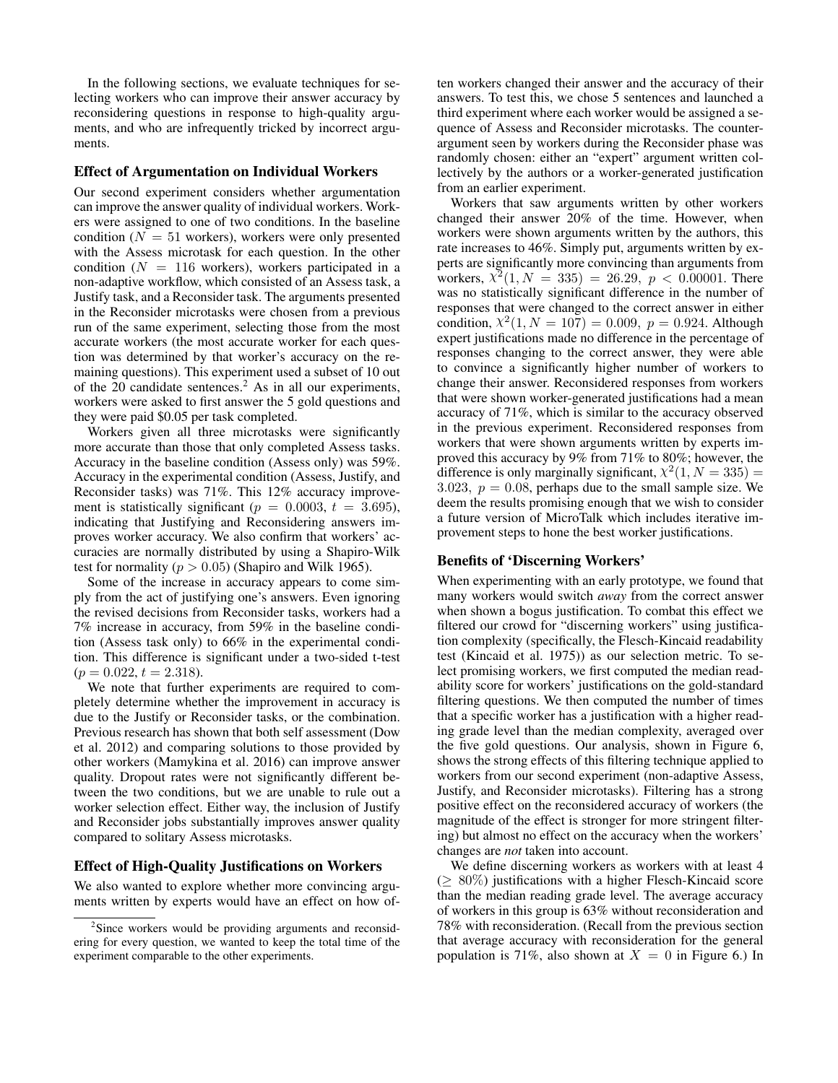In the following sections, we evaluate techniques for selecting workers who can improve their answer accuracy by reconsidering questions in response to high-quality arguments, and who are infrequently tricked by incorrect arguments.

#### Effect of Argumentation on Individual Workers

Our second experiment considers whether argumentation can improve the answer quality of individual workers. Workers were assigned to one of two conditions. In the baseline condition ( $N = 51$  workers), workers were only presented with the Assess microtask for each question. In the other condition ( $N = 116$  workers), workers participated in a non-adaptive workflow, which consisted of an Assess task, a Justify task, and a Reconsider task. The arguments presented in the Reconsider microtasks were chosen from a previous run of the same experiment, selecting those from the most accurate workers (the most accurate worker for each question was determined by that worker's accuracy on the remaining questions). This experiment used a subset of 10 out of the 20 candidate sentences.<sup>2</sup> As in all our experiments, workers were asked to first answer the 5 gold questions and they were paid \$0.05 per task completed.

Workers given all three microtasks were significantly more accurate than those that only completed Assess tasks. Accuracy in the baseline condition (Assess only) was 59%. Accuracy in the experimental condition (Assess, Justify, and Reconsider tasks) was 71%. This 12% accuracy improvement is statistically significant ( $p = 0.0003$ ,  $t = 3.695$ ), indicating that Justifying and Reconsidering answers improves worker accuracy. We also confirm that workers' accuracies are normally distributed by using a Shapiro-Wilk test for normality ( $p > 0.05$ ) (Shapiro and Wilk 1965).

Some of the increase in accuracy appears to come simply from the act of justifying one's answers. Even ignoring the revised decisions from Reconsider tasks, workers had a 7% increase in accuracy, from 59% in the baseline condition (Assess task only) to 66% in the experimental condition. This difference is significant under a two-sided t-test  $(p = 0.022, t = 2.318).$ 

We note that further experiments are required to completely determine whether the improvement in accuracy is due to the Justify or Reconsider tasks, or the combination. Previous research has shown that both self assessment (Dow et al. 2012) and comparing solutions to those provided by other workers (Mamykina et al. 2016) can improve answer quality. Dropout rates were not significantly different between the two conditions, but we are unable to rule out a worker selection effect. Either way, the inclusion of Justify and Reconsider jobs substantially improves answer quality compared to solitary Assess microtasks.

#### Effect of High-Quality Justifications on Workers

We also wanted to explore whether more convincing arguments written by experts would have an effect on how often workers changed their answer and the accuracy of their answers. To test this, we chose 5 sentences and launched a third experiment where each worker would be assigned a sequence of Assess and Reconsider microtasks. The counterargument seen by workers during the Reconsider phase was randomly chosen: either an "expert" argument written collectively by the authors or a worker-generated justification from an earlier experiment.

Workers that saw arguments written by other workers changed their answer 20% of the time. However, when workers were shown arguments written by the authors, this rate increases to 46%. Simply put, arguments written by experts are significantly more convincing than arguments from workers,  $\chi^2(1, N = 335) = 26.29, p < 0.00001$ . There was no statistically significant difference in the number of responses that were changed to the correct answer in either condition,  $\chi^2(1, N = 107) = 0.009$ ,  $p = 0.924$ . Although expert justifications made no difference in the percentage of responses changing to the correct answer, they were able to convince a significantly higher number of workers to change their answer. Reconsidered responses from workers that were shown worker-generated justifications had a mean accuracy of 71%, which is similar to the accuracy observed in the previous experiment. Reconsidered responses from workers that were shown arguments written by experts improved this accuracy by 9% from 71% to 80%; however, the difference is only marginally significant,  $\chi^2(1, N = 335)$  = 3.023,  $p = 0.08$ , perhaps due to the small sample size. We deem the results promising enough that we wish to consider a future version of MicroTalk which includes iterative improvement steps to hone the best worker justifications.

#### Benefits of 'Discerning Workers'

When experimenting with an early prototype, we found that many workers would switch *away* from the correct answer when shown a bogus justification. To combat this effect we filtered our crowd for "discerning workers" using justification complexity (specifically, the Flesch-Kincaid readability test (Kincaid et al. 1975)) as our selection metric. To select promising workers, we first computed the median readability score for workers' justifications on the gold-standard filtering questions. We then computed the number of times that a specific worker has a justification with a higher reading grade level than the median complexity, averaged over the five gold questions. Our analysis, shown in Figure 6, shows the strong effects of this filtering technique applied to workers from our second experiment (non-adaptive Assess, Justify, and Reconsider microtasks). Filtering has a strong positive effect on the reconsidered accuracy of workers (the magnitude of the effect is stronger for more stringent filtering) but almost no effect on the accuracy when the workers' changes are *not* taken into account.

We define discerning workers as workers with at least 4  $(> 80\%)$  justifications with a higher Flesch-Kincaid score than the median reading grade level. The average accuracy of workers in this group is 63% without reconsideration and 78% with reconsideration. (Recall from the previous section that average accuracy with reconsideration for the general population is 71%, also shown at  $X = 0$  in Figure 6.) In

<sup>&</sup>lt;sup>2</sup>Since workers would be providing arguments and reconsidering for every question, we wanted to keep the total time of the experiment comparable to the other experiments.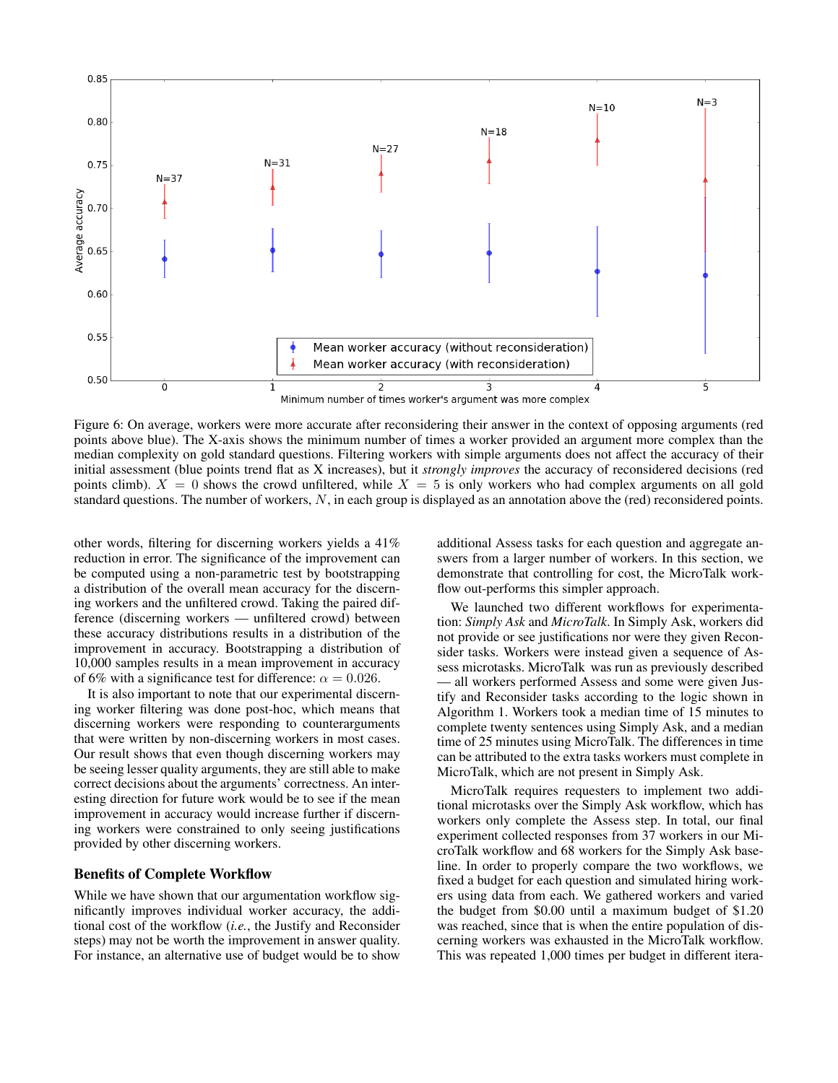

Figure 6: On average, workers were more accurate after reconsidering their answer in the context of opposing arguments (red points above blue). The X-axis shows the minimum number of times a worker provided an argument more complex than the median complexity on gold standard questions. Filtering workers with simple arguments does not affect the accuracy of their initial assessment (blue points trend flat as X increases), but it *strongly improves* the accuracy of reconsidered decisions (red points climb).  $X = 0$  shows the crowd unfiltered, while  $X = 5$  is only workers who had complex arguments on all gold standard questions. The number of workers, N, in each group is displayed as an annotation above the (red) reconsidered points.

other words, filtering for discerning workers yields a 41% reduction in error. The significance of the improvement can be computed using a non-parametric test by bootstrapping a distribution of the overall mean accuracy for the discerning workers and the unfiltered crowd. Taking the paired difference (discerning workers — unfiltered crowd) between these accuracy distributions results in a distribution of the improvement in accuracy. Bootstrapping a distribution of 10,000 samples results in a mean improvement in accuracy of 6% with a significance test for difference:  $\alpha = 0.026$ .

It is also important to note that our experimental discerning worker filtering was done post-hoc, which means that discerning workers were responding to counterarguments that were written by non-discerning workers in most cases. Our result shows that even though discerning workers may be seeing lesser quality arguments, they are still able to make correct decisions about the arguments' correctness. An interesting direction for future work would be to see if the mean improvement in accuracy would increase further if discerning workers were constrained to only seeing justifications provided by other discerning workers.

#### Benefits of Complete Workflow

While we have shown that our argumentation workflow significantly improves individual worker accuracy, the additional cost of the workflow (*i.e.*, the Justify and Reconsider steps) may not be worth the improvement in answer quality. For instance, an alternative use of budget would be to show

additional Assess tasks for each question and aggregate answers from a larger number of workers. In this section, we demonstrate that controlling for cost, the MicroTalk workflow out-performs this simpler approach.

We launched two different workflows for experimentation: *Simply Ask* and *MicroTalk*. In Simply Ask, workers did not provide or see justifications nor were they given Reconsider tasks. Workers were instead given a sequence of Assess microtasks. MicroTalk was run as previously described — all workers performed Assess and some were given Justify and Reconsider tasks according to the logic shown in Algorithm 1. Workers took a median time of 15 minutes to complete twenty sentences using Simply Ask, and a median time of 25 minutes using MicroTalk. The differences in time can be attributed to the extra tasks workers must complete in MicroTalk, which are not present in Simply Ask.

MicroTalk requires requesters to implement two additional microtasks over the Simply Ask workflow, which has workers only complete the Assess step. In total, our final experiment collected responses from 37 workers in our MicroTalk workflow and 68 workers for the Simply Ask baseline. In order to properly compare the two workflows, we fixed a budget for each question and simulated hiring workers using data from each. We gathered workers and varied the budget from \$0.00 until a maximum budget of \$1.20 was reached, since that is when the entire population of discerning workers was exhausted in the MicroTalk workflow. This was repeated 1,000 times per budget in different itera-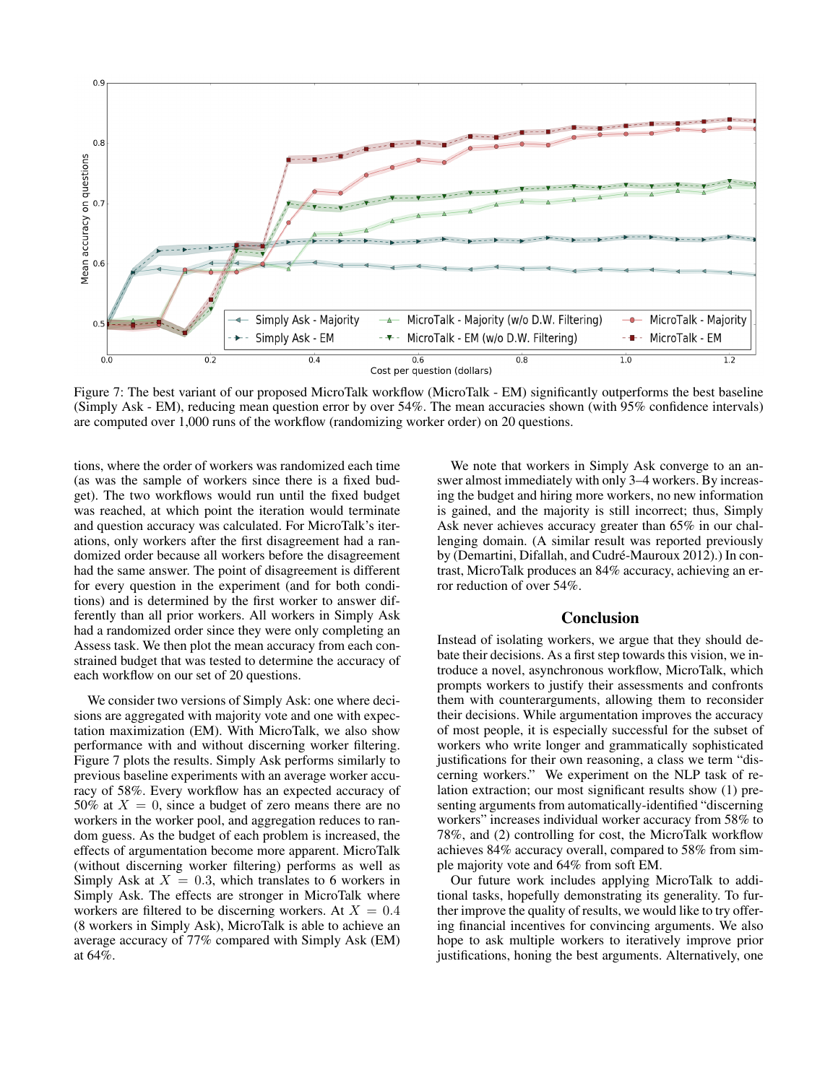

Figure 7: The best variant of our proposed MicroTalk workflow (MicroTalk - EM) significantly outperforms the best baseline (Simply Ask - EM), reducing mean question error by over 54%. The mean accuracies shown (with 95% confidence intervals) are computed over 1,000 runs of the workflow (randomizing worker order) on 20 questions.

tions, where the order of workers was randomized each time (as was the sample of workers since there is a fixed budget). The two workflows would run until the fixed budget was reached, at which point the iteration would terminate and question accuracy was calculated. For MicroTalk's iterations, only workers after the first disagreement had a randomized order because all workers before the disagreement had the same answer. The point of disagreement is different for every question in the experiment (and for both conditions) and is determined by the first worker to answer differently than all prior workers. All workers in Simply Ask had a randomized order since they were only completing an Assess task. We then plot the mean accuracy from each constrained budget that was tested to determine the accuracy of each workflow on our set of 20 questions.

We consider two versions of Simply Ask: one where decisions are aggregated with majority vote and one with expectation maximization (EM). With MicroTalk, we also show performance with and without discerning worker filtering. Figure 7 plots the results. Simply Ask performs similarly to previous baseline experiments with an average worker accuracy of 58%. Every workflow has an expected accuracy of 50% at  $X = 0$ , since a budget of zero means there are no workers in the worker pool, and aggregation reduces to random guess. As the budget of each problem is increased, the effects of argumentation become more apparent. MicroTalk (without discerning worker filtering) performs as well as Simply Ask at  $X = 0.3$ , which translates to 6 workers in Simply Ask. The effects are stronger in MicroTalk where workers are filtered to be discerning workers. At  $X = 0.4$ (8 workers in Simply Ask), MicroTalk is able to achieve an average accuracy of 77% compared with Simply Ask (EM) at 64%.

We note that workers in Simply Ask converge to an answer almost immediately with only 3–4 workers. By increasing the budget and hiring more workers, no new information is gained, and the majority is still incorrect; thus, Simply Ask never achieves accuracy greater than 65% in our challenging domain. (A similar result was reported previously by (Demartini, Difallah, and Cudré-Mauroux 2012).) In contrast, MicroTalk produces an 84% accuracy, achieving an error reduction of over 54%.

# Conclusion

Instead of isolating workers, we argue that they should debate their decisions. As a first step towards this vision, we introduce a novel, asynchronous workflow, MicroTalk, which prompts workers to justify their assessments and confronts them with counterarguments, allowing them to reconsider their decisions. While argumentation improves the accuracy of most people, it is especially successful for the subset of workers who write longer and grammatically sophisticated justifications for their own reasoning, a class we term "discerning workers." We experiment on the NLP task of relation extraction; our most significant results show (1) presenting arguments from automatically-identified "discerning workers" increases individual worker accuracy from 58% to 78%, and (2) controlling for cost, the MicroTalk workflow achieves 84% accuracy overall, compared to 58% from simple majority vote and 64% from soft EM.

Our future work includes applying MicroTalk to additional tasks, hopefully demonstrating its generality. To further improve the quality of results, we would like to try offering financial incentives for convincing arguments. We also hope to ask multiple workers to iteratively improve prior justifications, honing the best arguments. Alternatively, one